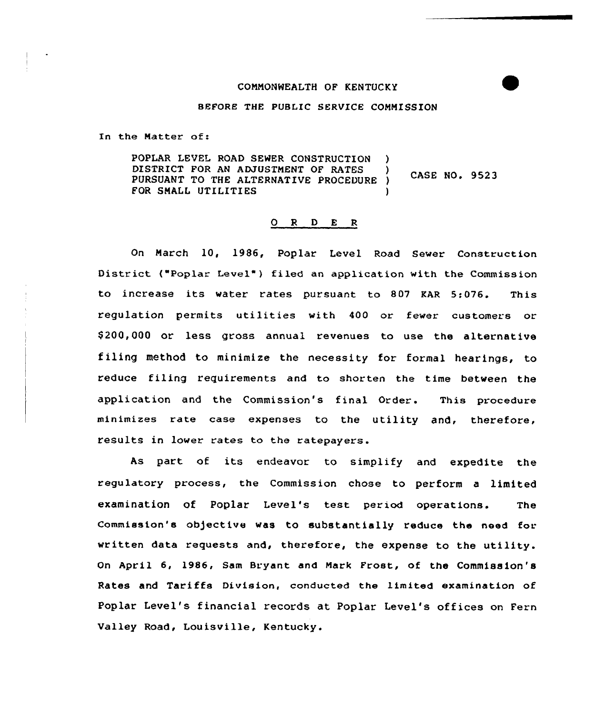## COMMONWEALTH OF KENTUCKY

#### BEFORE THE PUBLIC SERVICE CONMISS ION

In the Matter of:

POPLAR LEVEL ROAD SEHER CONSTRUCTION ) DISTRICT FOR AN ADJUSTMENT OF RATES CASE NO. 9523 PURSUANT TO THE ALTERNATIVE PROCEDURE ) FOR SMALL UTILITIES (1)

# 0 R <sup>D</sup> E <sup>R</sup>

On March 10, 1986, Poplar Level Road Sewer Construction District ("Poplar Level") filed an application with the Commission to increase its water rates pursuant to 807 KAR 5:076. This regulation permits utilities with 400 or fewer customers or \$ 200,000 or less gross annual revenues to use the alternative filing method to minimize the necessity for formal hearings, to reduce filing requirements and to shorten the time between the application and the Commission's final Order. This procedure minimizes rate case expenses to the utility and, therefore, results in lower rates to the ratepayers.

As part of its endeavor to simplify and expedite the regulatory process, the Commission chose to perform a limited examination of Poplar Level's test period operations. The Commission's ob)ective was to substantially reduce the need for written data requests and, therefore, the expense to the utility. On April 6, 1986, Sam Bryant and Mark Frost, of the Commission's Rates and Tariffs Division, conducted the limited examination of Poplar Level's financial records at Poplar Level's offices on Fern Valley Road, Louisville, Kentucky.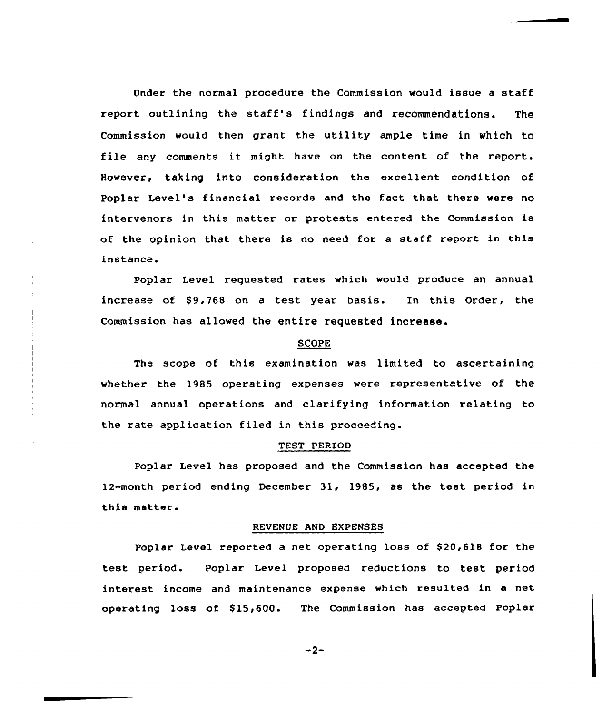Under the normal procedure the Commission would issue a staff report outlining the staff's findings and recommendations. The Commission would then grant the utility ample time in which to file any comments it might have on the content of the report. However, taking into consideration the excellent condition of Poplar Level's financial records and the fact that there were no intervenors in this matter or protests entered the Commission is of the opinion that there is no need for <sup>a</sup> staff report in this instance.

Poplar Level requested rates which would produce an annual increase of \$9,768 on a test year basis. In this Order, the Commission has allowed the entire requested increase.

### SCOPE

The scope of this examination was limited to ascertaining whether the 1985 operating expenses were representative of the normal annual operations and clarifying information relating to the rate application filed in this proceeding.

#### TEST PERIOD

Poplar Level has proposed and the Commission has accepted the 12-month period ending December 31, 1985, as the test period in this matter.

### REVENUE AND EXPENSES

Poplar Level reported a net operating loss of \$20,618 for the test period. Poplar Level proposed reductions to test period interest income and maintenance expense which resulted in a net operating loss of \$15,600. The Commission has accepted Poplar

 $-2-$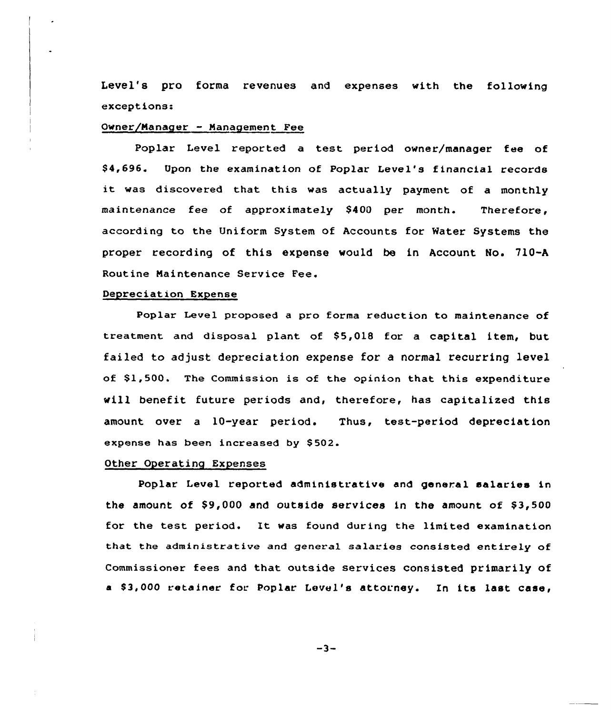Level's pro forma revenues and expenses with the following exceptions:

## Owner/Manager - Management Fee

Poplar Level reported a test period owner/manager fee of \$ 4,696. Upon the examination of Poplar Level's financial records it was discovered that this was actually payment of <sup>a</sup> monthly maintenance fee of approximately \$400 per month. Therefore, according to the Uniform System of Accounts for Mater Systems the proper recording of this expense would be in Account No. 710-A Routine Naintenance Service Fee.

## Depreciation Expense

Poplar Level proposed a pro forma reduction to maintenance of treatment and disposal plant of \$5,018 for a capital item, but failed to adjust depreciation expense for a normal recurring level of  $\$1,500$ . The Commission is of the opinion that this expenditure will benefit future periods and, therefore, has capitalized this amount over a 10-year period. Thus, test-period depreciation expense has been increased by \$502.

### Other Operating Expenses

Poplar Level reported administrative and general salaries in the amount of  $$9,000$  and outside services in the amount of  $$3,500$ for the test period. It was found during the limited examination that the administrative and general salaries consisted entirely of Commissioner fees and that outside services consisted primarily of a \$3,000 retainer for Poplar Level's attorney. In its last case,

 $-3-$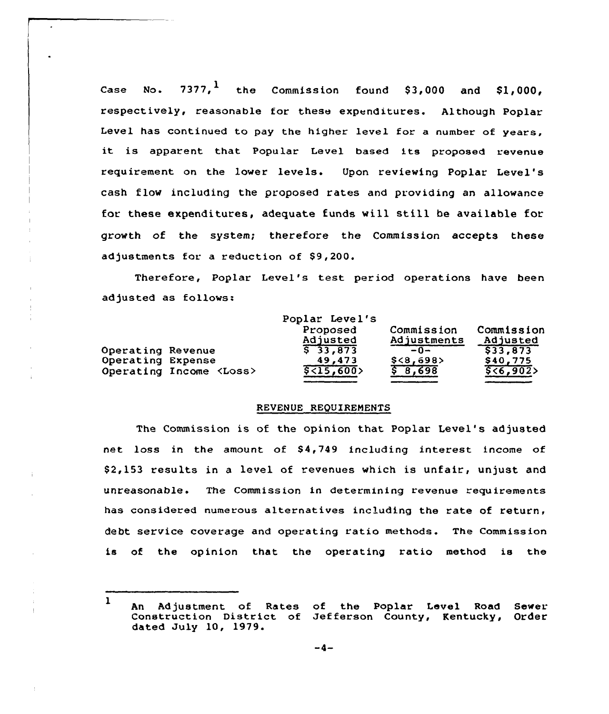Case No.  $7377,$ <sup>1</sup> the Commission found \$3,000 and \$1,000, respectively, reasonable for these expenditures. Although Poplar Level has continued to pay the higher level for a number of years, it is apparent that Popular Level based its proposed revenue requirement on the lower levels. Upon reviewing Poplar Level's cash flow including the proposed rates and providing an allowance for these expenditures, adequate funds will still be available for growth of the system; therefore the Commission accepts these adjustments for a reduction of \$9,200.

Therefore, Poplar Level's test period operations have been adjusted as follows:

|                   |                                | Poplar Level's        |             |            |
|-------------------|--------------------------------|-----------------------|-------------|------------|
|                   |                                | Proposed              | Commission  | Commission |
|                   |                                | Adjusted              | Adjustments | Adjusted   |
| Operating Revenue |                                | $5 \overline{33,873}$ | $-0-$       | \$33,873   |
| Operating Expense |                                | 49,473                | \$<8,698    | \$40.775   |
|                   | Operating Income <loss></loss> | \$<15,600             | \$8,698     | 556,902    |

#### REVENUE REQUIREMENTS

The Commission is of the opinion that Poplar Level's adjusted net loss in the amount of \$4,749 including interest income of \$ 2,153 results in a level of revenues which is unfair, unjust and unreasonable. The Commission in determining revenue requirements has considered numerous alternatives including the rate of return, debt service coverage and operating ratio methods. The Commission is of the opinion that the operating ratio method is the

<sup>1</sup> An Adjustment of Rates of the Poplar Level Road Sewer<br>Construction District of Jefferson County, Kentucky, Order Construction District of Jefferson County, Kentucky, dated July 10, 1979.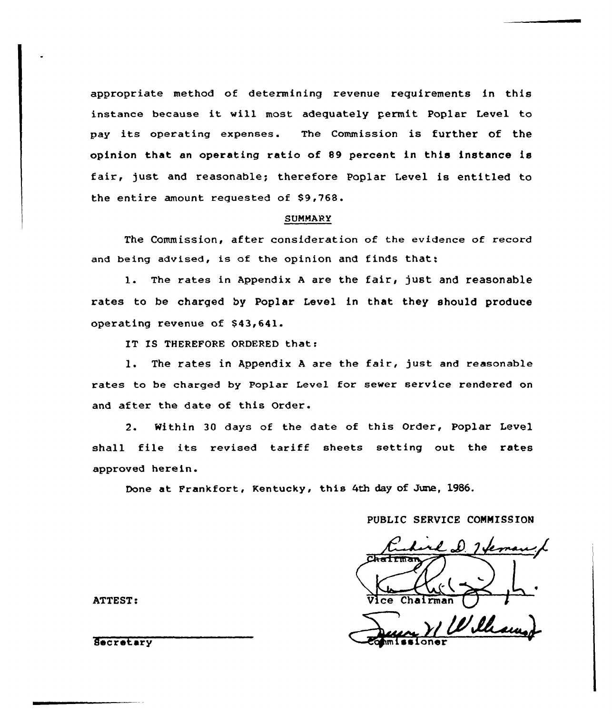appropriate method of determining revenue requirements in this instance because it will most adequately permit Poplar Level to pay its operating expenses. The Commission is further of the opinion that an operating ratio of 89 percent in this instance is fair, just and reasonable; therefore Poplar Level is entitled to the entire amount requested of \$9,768.

#### SUMMARY

The Commission, after consideration of the evidence of record and being advised, is of the opinion and finds that;

1. The rates in Appendix A are the fair, just and reasonable rates to be charged by Poplar Level in that they should produce operating revenue of \$43,641.

IT IS THEREFORE ORDERED that:

l. The rates in Appendix <sup>A</sup> are the fair, just and reasonable rates to be charged by Poplar Level for sever service rendered on and after the date of this Order.

2. Within 30 days of the date of this Order, Poplar Level shall file its revised tariff sheets setting out the rates approved herein.

Done at Frankfort, Kentucky, this 4th day of June, 1986.

## PUBLIC SERVICE CONNISSION

ATTEST: Vice Chairman and Vice Chairman

Secretary